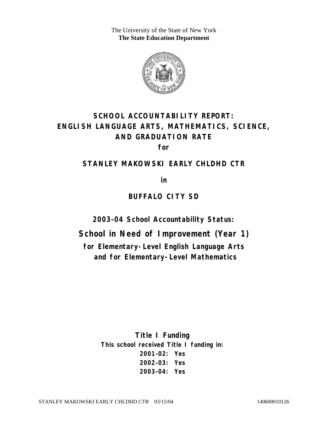The University of the State of New York **The State Education Department** 



# **SCHOOL ACCOUNTABILITY REPORT: ENGLISH LANGUAGE ARTS, MATHEMATICS, SCIENCE, AND GRADUATION RATE**

**for** 

#### **STANLEY MAKOWSKI EARLY CHLDHD CTR**

**in** 

#### **BUFFALO CITY SD**

**2003–04 School Accountability Status:** 

**School in Need of Improvement (Year 1)** 

**for Elementary-Level English Language Arts and for Elementary-Level Mathematics**

> **Title I Funding This school received Title I funding in: 2001–02: Yes 2002–03: Yes 2003–04: Yes**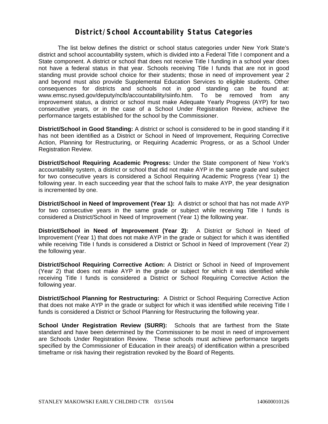#### **District/School Accountability Status Categories**

The list below defines the district or school status categories under New York State's district and school accountability system, which is divided into a Federal Title I component and a State component. A district or school that does not receive Title I funding in a school year does not have a federal status in that year. Schools receiving Title I funds that are not in good standing must provide school choice for their students; those in need of improvement year 2 and beyond must also provide Supplemental Education Services to eligible students. Other consequences for districts and schools not in good standing can be found at: www.emsc.nysed.gov/deputy/nclb/accountability/siinfo.htm. To be removed from any improvement status, a district or school must make Adequate Yearly Progress (AYP) for two consecutive years, or in the case of a School Under Registration Review, achieve the performance targets established for the school by the Commissioner.

**District/School in Good Standing:** A district or school is considered to be in good standing if it has not been identified as a District or School in Need of Improvement, Requiring Corrective Action, Planning for Restructuring, or Requiring Academic Progress, or as a School Under Registration Review.

**District/School Requiring Academic Progress:** Under the State component of New York's accountability system, a district or school that did not make AYP in the same grade and subject for two consecutive years is considered a School Requiring Academic Progress (Year 1) the following year. In each succeeding year that the school fails to make AYP, the year designation is incremented by one.

**District/School in Need of Improvement (Year 1):** A district or school that has not made AYP for two consecutive years in the same grade or subject while receiving Title I funds is considered a District/School in Need of Improvement (Year 1) the following year.

**District/School in Need of Improvement (Year 2):** A District or School in Need of Improvement (Year 1) that does not make AYP in the grade or subject for which it was identified while receiving Title I funds is considered a District or School in Need of Improvement (Year 2) the following year.

**District/School Requiring Corrective Action:** A District or School in Need of Improvement (Year 2) that does not make AYP in the grade or subject for which it was identified while receiving Title I funds is considered a District or School Requiring Corrective Action the following year.

**District/School Planning for Restructuring:** A District or School Requiring Corrective Action that does not make AYP in the grade or subject for which it was identified while receiving Title I funds is considered a District or School Planning for Restructuring the following year.

**School Under Registration Review (SURR):** Schools that are farthest from the State standard and have been determined by the Commissioner to be most in need of improvement are Schools Under Registration Review. These schools must achieve performance targets specified by the Commissioner of Education in their area(s) of identification within a prescribed timeframe or risk having their registration revoked by the Board of Regents.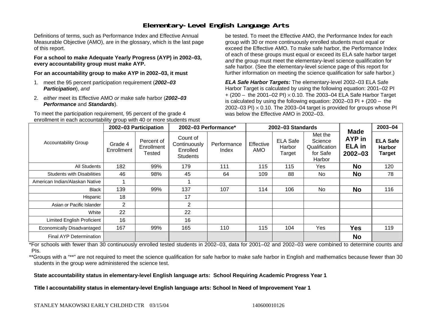## **Elementary-Level English Language Arts**

Definitions of terms, such as Performance Index and Effective Annual Measurable Objective (AMO), are in the glossary, which is the last page of this report.

**For a school to make Adequate Yearly Progress (AYP) in 2002–03, every accountability group must make AYP.** 

**For an accountability group to make AYP in 2002–03, it must** 

- 1. meet the 95 percent participation requirement (*2002–03 Participation*), *and*
- 2. *either* meet its Effective AMO *or* make safe harbor (*2002–03 Performance* and *Standards*).

To meet the participation requirement, 95 percent of the grade 4 enrollment in each accountability group with 40 or more students must

be tested. To meet the Effective AMO, the Performance Index for each group with 30 or more continuously enrolled students must equal or exceed the Effective AMO. To make safe harbor, the Performance Index of each of these groups must equal or exceed its ELA safe harbor target *and* the group must meet the elementary-level science qualification for safe harbor. (See the elementary-level science page of this report for further information on meeting the science qualification for safe harbor.)

*ELA Safe Harbor Targets:* The elementary-level 2002–03 ELA Safe Harbor Target is calculated by using the following equation: 2001–02 PI + (200 – the 2001–02 PI) <sup>×</sup> 0.10. The 2003–04 ELA Safe Harbor Target is calculated by using the following equation: 2002–03 PI + (200 – the 2002–03 PI)  $\times$  0.10. The 2003–04 target is provided for groups whose PI was below the Effective AMO in 2002–03.

| <b>Accountability Group</b>       | 2002-03 Participation |                                    | 2002-03 Performance*                             |                      | 2002-03 Standards |                                     |                                                           |                                                              | 2003-04                                           |
|-----------------------------------|-----------------------|------------------------------------|--------------------------------------------------|----------------------|-------------------|-------------------------------------|-----------------------------------------------------------|--------------------------------------------------------------|---------------------------------------------------|
|                                   | Grade 4<br>Enrollment | Percent of<br>Enrollment<br>Tested | Count of<br>Continuously<br>Enrolled<br>Students | Performance<br>Index | Effective<br>AMO  | <b>ELA Safe</b><br>Harbor<br>Target | Met the<br>Science<br>Qualification<br>for Safe<br>Harbor | <b>Made</b><br><b>AYP</b> in<br><b>ELA</b> in<br>$2002 - 03$ | <b>ELA Safe</b><br><b>Harbor</b><br><b>Target</b> |
| All Students                      | 182                   | 99%                                | 179                                              | 111                  | 115               | 115                                 | Yes                                                       | <b>No</b>                                                    | 120                                               |
| <b>Students with Disabilities</b> | 46                    | 98%                                | 45                                               | 64                   | 109               | 88                                  | No.                                                       | <b>No</b>                                                    | 78                                                |
| American Indian/Alaskan Native    |                       |                                    |                                                  |                      |                   |                                     |                                                           |                                                              |                                                   |
| Black                             | 139                   | 99%                                | 137                                              | 107                  | 114               | 106                                 | No.                                                       | <b>No</b>                                                    | 116                                               |
| Hispanic                          | 18                    |                                    | 17                                               |                      |                   |                                     |                                                           |                                                              |                                                   |
| Asian or Pacific Islander         | $\overline{2}$        |                                    | $\overline{2}$                                   |                      |                   |                                     |                                                           |                                                              |                                                   |
| White                             | 22                    |                                    | 22                                               |                      |                   |                                     |                                                           |                                                              |                                                   |
| <b>Limited English Proficient</b> | 16                    |                                    | 16                                               |                      |                   |                                     |                                                           |                                                              |                                                   |
| Economically Disadvantaged        | 167                   | 99%                                | 165                                              | 110                  | 115               | 104                                 | Yes                                                       | <b>Yes</b>                                                   | 119                                               |
| <b>Final AYP Determination</b>    |                       |                                    |                                                  |                      |                   |                                     |                                                           | <b>No</b>                                                    |                                                   |

\*For schools with fewer than 30 continuously enrolled tested students in 2002–03, data for 2001–02 and 2002–03 were combined to determine counts and PIs.

\*\*Groups with a "\*\*" are not required to meet the science qualification for safe harbor to make safe harbor in English and mathematics because fewer than 30 students in the group were administered the science test.

**State accountability status in elementary-level English language arts: School Requiring Academic Progress Year 1** 

Title I accountability status in elementary-level English language arts: School In Need of Improvement Year 1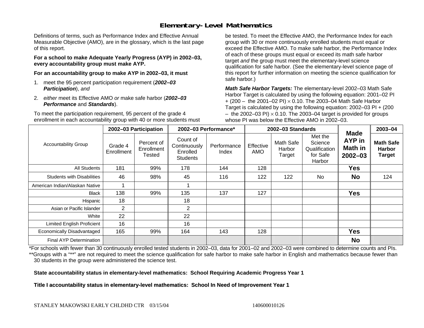## **Elementary-Level Mathematics**

Definitions of terms, such as Performance Index and Effective Annual Measurable Objective (AMO), are in the glossary, which is the last page of this report.

**For a school to make Adequate Yearly Progress (AYP) in 2002–03, every accountability group must make AYP.** 

**For an accountability group to make AYP in 2002–03, it must** 

- 1. meet the 95 percent participation requirement (*2002–03 Participation*), *and*
- 2. *either* meet its Effective AMO *or* make safe harbor (*2002–03 Performance* and *Standards*).

To meet the participation requirement, 95 percent of the grade 4 enrollment in each accountability group with 40 or more students must

be tested. To meet the Effective AMO, the Performance Index for each group with 30 or more continuously enrolled students must equal or exceed the Effective AMO. To make safe harbor, the Performance Index of each of these groups must equal or exceed its math safe harbor target *and* the group must meet the elementary-level science qualification for safe harbor. (See the elementary-level science page of this report for further information on meeting the science qualification for safe harbor.)

*Math Safe Harbor Targets:* The elementary-level 2002–03 Math Safe Harbor Target is calculated by using the following equation: 2001–02 PI + (200 – the 2001–02 PI) × 0.10. The 2003–04 Math Safe Harbor Target is calculated by using the following equation: 2002–03 PI + (200  $-$  the 2002–03 PI)  $\times$  0.10. The 2003–04 target is provided for groups whose PI was below the Effective AMO in 2002–03.

| <b>Accountability Group</b>       | 2002-03 Participation |                                    | 2002-03 Performance*                             |                      | 2002-03 Standards |                               |                                                           |                                                 | 2003-04                                            |
|-----------------------------------|-----------------------|------------------------------------|--------------------------------------------------|----------------------|-------------------|-------------------------------|-----------------------------------------------------------|-------------------------------------------------|----------------------------------------------------|
|                                   | Grade 4<br>Enrollment | Percent of<br>Enrollment<br>Tested | Count of<br>Continuously<br>Enrolled<br>Students | Performance<br>Index | Effective<br>AMO  | Math Safe<br>Harbor<br>Target | Met the<br>Science<br>Qualification<br>for Safe<br>Harbor | <b>Made</b><br>AYP in<br>Math in<br>$2002 - 03$ | <b>Math Safe</b><br><b>Harbor</b><br><b>Target</b> |
| All Students                      | 181                   | 99%                                | 178                                              | 144                  | 128               |                               |                                                           | <b>Yes</b>                                      |                                                    |
| <b>Students with Disabilities</b> | 46                    | 98%                                | 45                                               | 116                  | 122               | 122                           | <b>No</b>                                                 | <b>No</b>                                       | 124                                                |
| American Indian/Alaskan Native    |                       |                                    |                                                  |                      |                   |                               |                                                           |                                                 |                                                    |
| <b>Black</b>                      | 138                   | 99%                                | 135                                              | 137                  | 127               |                               |                                                           | <b>Yes</b>                                      |                                                    |
| Hispanic                          | 18                    |                                    | 18                                               |                      |                   |                               |                                                           |                                                 |                                                    |
| Asian or Pacific Islander         | 2                     |                                    | 2                                                |                      |                   |                               |                                                           |                                                 |                                                    |
| White                             | 22                    |                                    | 22                                               |                      |                   |                               |                                                           |                                                 |                                                    |
| Limited English Proficient        | 16                    |                                    | 16                                               |                      |                   |                               |                                                           |                                                 |                                                    |
| Economically Disadvantaged        | 165                   | 99%                                | 164                                              | 143                  | 128               |                               |                                                           | <b>Yes</b>                                      |                                                    |
| <b>Final AYP Determination</b>    |                       |                                    |                                                  |                      |                   |                               |                                                           | <b>No</b>                                       |                                                    |

\*For schools with fewer than 30 continuously enrolled tested students in 2002–03, data for 2001–02 and 2002–03 were combined to determine counts and PIs. \*\*Groups with a "\*\*" are not required to meet the science qualification for safe harbor to make safe harbor in English and mathematics because fewer than 30 students in the group were administered the science test.

**State accountability status in elementary-level mathematics: School Requiring Academic Progress Year 1** 

Title I accountability status in elementary-level mathematics: School In Need of Improvement Year 1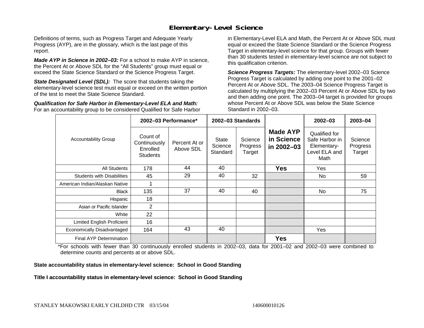#### **Elementary-Level Science**

Definitions of terms, such as Progress Target and Adequate Yearly Progress (AYP), are in the glossary, which is the last page of this report.

*Made AYP in Science in 2002–03:* For a school to make AYP in science, the Percent At or Above SDL for the "All Students" group must equal or exceed the State Science Standard or the Science Progress Target.

**State Designated Level (SDL):** The score that students taking the elementary-level science test must equal or exceed on the written portion of the test to meet the State Science Standard.

*Qualification for Safe Harbor in Elementary-Level ELA and Math:* For an accountability group to be considered Qualified for Safe Harbor in Elementary-Level ELA and Math, the Percent At or Above SDL must equal or exceed the State Science Standard or the Science Progress Target in elementary-level science for that group. Groups with fewer than 30 students tested in elementary-level science are not subject to this qualification criterion.

*Science Progress Targets:* The elementary-level 2002–03 Science Progress Target is calculated by adding one point to the 2001–02 Percent At or Above SDL. The 2003–04 Science Progress Target is calculated by multiplying the 2002–03 Percent At or Above SDL by two and then adding one point. The 2003–04 target is provided for groups whose Percent At or Above SDL was below the State Science Standard in 2002–03.

|                                   |                                                         | 2002-03 Performance*       |                                     | 2002-03 Standards             |                                             | $2002 - 03$                                                             | $2003 - 04$                   |
|-----------------------------------|---------------------------------------------------------|----------------------------|-------------------------------------|-------------------------------|---------------------------------------------|-------------------------------------------------------------------------|-------------------------------|
| <b>Accountability Group</b>       | Count of<br>Continuously<br>Enrolled<br><b>Students</b> | Percent At or<br>Above SDL | <b>State</b><br>Science<br>Standard | Science<br>Progress<br>Target | <b>Made AYP</b><br>in Science<br>in 2002-03 | Qualified for<br>Safe Harbor in<br>Elementary-<br>Level ELA and<br>Math | Science<br>Progress<br>Target |
| All Students                      | 178                                                     | 44                         | 40                                  |                               | <b>Yes</b>                                  | Yes                                                                     |                               |
| <b>Students with Disabilities</b> | 45                                                      | 29                         | 40                                  | 32                            |                                             | No.                                                                     | 59                            |
| American Indian/Alaskan Native    |                                                         |                            |                                     |                               |                                             |                                                                         |                               |
| <b>Black</b>                      | 135                                                     | 37                         | 40                                  | 40                            |                                             | No.                                                                     | 75                            |
| Hispanic                          | 18                                                      |                            |                                     |                               |                                             |                                                                         |                               |
| Asian or Pacific Islander         | 2                                                       |                            |                                     |                               |                                             |                                                                         |                               |
| White                             | 22                                                      |                            |                                     |                               |                                             |                                                                         |                               |
| Limited English Proficient        | 16                                                      |                            |                                     |                               |                                             |                                                                         |                               |
| Economically Disadvantaged        | 164                                                     | 43                         | 40                                  |                               |                                             | Yes                                                                     |                               |
| <b>Final AYP Determination</b>    |                                                         |                            |                                     |                               | <b>Yes</b>                                  |                                                                         |                               |

\*For schools with fewer than 30 continuously enrolled students in 2002–03, data for 2001–02 and 2002–03 were combined to determine counts and percents at or above SDL.

#### **State accountability status in elementary-level science: School in Good Standing**

Title I accountability status in elementary-level science: School in Good Standing